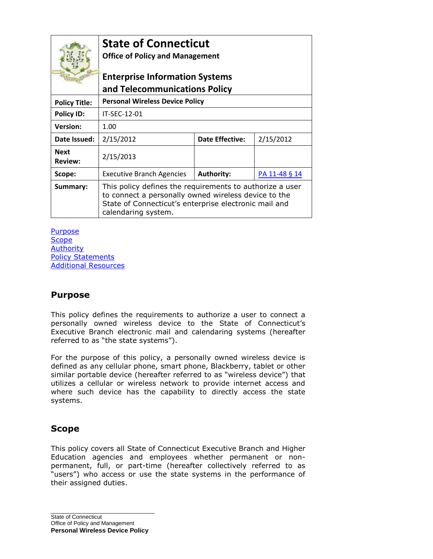| QUI TRANSTULIT                | <b>State of Connecticut</b><br><b>Office of Policy and Management</b><br><b>Enterprise Information Systems</b><br>and Telecommunications Policy                                                  |                        |               |
|-------------------------------|--------------------------------------------------------------------------------------------------------------------------------------------------------------------------------------------------|------------------------|---------------|
| <b>Policy Title:</b>          | <b>Personal Wireless Device Policy</b>                                                                                                                                                           |                        |               |
| <b>Policy ID:</b>             | IT-SEC-12-01                                                                                                                                                                                     |                        |               |
| <b>Version:</b>               | 1.00                                                                                                                                                                                             |                        |               |
| Date Issued:                  | 2/15/2012                                                                                                                                                                                        | <b>Date Effective:</b> | 2/15/2012     |
| <b>Next</b><br><b>Review:</b> | 2/15/2013                                                                                                                                                                                        |                        |               |
| Scope:                        | <b>Executive Branch Agencies</b>                                                                                                                                                                 | <b>Authority:</b>      | PA 11-48 § 14 |
| Summary:                      | This policy defines the requirements to authorize a user<br>to connect a personally owned wireless device to the<br>State of Connecticut's enterprise electronic mail and<br>calendaring system. |                        |               |

#### **[Purpose](#page-0-0) [Scope](#page-0-1) [Authority](#page-1-0)** [Policy Statements](#page-1-1) [Additional Resources](#page-3-0)

### <span id="page-0-0"></span>**Purpose**

This policy defines the requirements to authorize a user to connect a personally owned wireless device to the State of Connecticut's Executive Branch electronic mail and calendaring systems (hereafter referred to as "the state systems").

For the purpose of this policy, a personally owned wireless device is defined as any cellular phone, smart phone, Blackberry, tablet or other similar portable device (hereafter referred to as "wireless device") that utilizes a cellular or wireless network to provide internet access and where such device has the capability to directly access the state systems.

### <span id="page-0-1"></span>**Scope**

This policy covers all State of Connecticut Executive Branch and Higher Education agencies and employees whether permanent or nonpermanent, full, or part-time (hereafter collectively referred to as "users") who access or use the state systems in the performance of their assigned duties.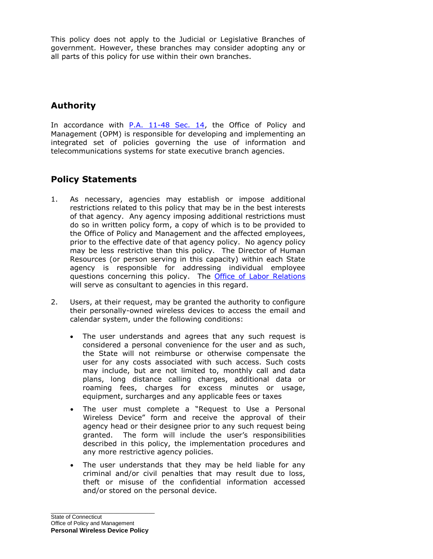This policy does not apply to the Judicial or Legislative Branches of government. However, these branches may consider adopting any or all parts of this policy for use within their own branches.

# <span id="page-1-0"></span>**Authority**

In accordance with [P.A. 11-48 Sec. 14,](http://www.cga.ct.gov/2011/ACT/PA/2011PA-00048-R00HB-06651-PA.htm) the Office of Policy and Management (OPM) is responsible for developing and implementing an integrated set of policies governing the use of information and telecommunications systems for state executive branch agencies.

## <span id="page-1-1"></span>**Policy Statements**

- 1. As necessary, agencies may establish or impose additional restrictions related to this policy that may be in the best interests of that agency. Any agency imposing additional restrictions must do so in written policy form, a copy of which is to be provided to the Office of Policy and Management and the affected employees, prior to the effective date of that agency policy. No agency policy may be less restrictive than this policy. The Director of Human Resources (or person serving in this capacity) within each State agency is responsible for addressing individual employee questions concerning this policy. The [Office of Labor Relations](http://www.ct.gov/opm/cwp/view.asp?a=2992&q=383224&opmNav_GID=1792) will serve as consultant to agencies in this regard.
- 2. Users, at their request, may be granted the authority to configure their personally-owned wireless devices to access the email and calendar system, under the following conditions:
	- The user understands and agrees that any such request is considered a personal convenience for the user and as such, the State will not reimburse or otherwise compensate the user for any costs associated with such access. Such costs may include, but are not limited to, monthly call and data plans, long distance calling charges, additional data or roaming fees, charges for excess minutes or usage, equipment, surcharges and any applicable fees or taxes
	- The user must complete a "Request to Use a Personal Wireless Device" form and receive the approval of their agency head or their designee prior to any such request being granted. The form will include the user's responsibilities described in this policy, the implementation procedures and any more restrictive agency policies.
	- The user understands that they may be held liable for any criminal and/or civil penalties that may result due to loss, theft or misuse of the confidential information accessed and/or stored on the personal device.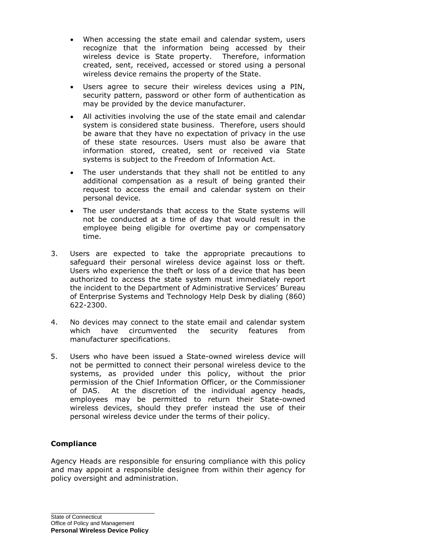- When accessing the state email and calendar system, users recognize that the information being accessed by their wireless device is State property. Therefore, information created, sent, received, accessed or stored using a personal wireless device remains the property of the State.
- Users agree to secure their wireless devices using a PIN, security pattern, password or other form of authentication as may be provided by the device manufacturer.
- All activities involving the use of the state email and calendar system is considered state business. Therefore, users should be aware that they have no expectation of privacy in the use of these state resources. Users must also be aware that information stored, created, sent or received via State systems is subject to the Freedom of Information Act.
- The user understands that they shall not be entitled to any additional compensation as a result of being granted their request to access the email and calendar system on their personal device.
- The user understands that access to the State systems will not be conducted at a time of day that would result in the employee being eligible for overtime pay or compensatory time.
- 3. Users are expected to take the appropriate precautions to safeguard their personal wireless device against loss or theft. Users who experience the theft or loss of a device that has been authorized to access the state system must immediately report the incident to the Department of Administrative Services' Bureau of Enterprise Systems and Technology Help Desk by dialing (860) 622-2300.
- 4. No devices may connect to the state email and calendar system which have circumvented the security features from manufacturer specifications.
- 5. Users who have been issued a State-owned wireless device will not be permitted to connect their personal wireless device to the systems, as provided under this policy, without the prior permission of the Chief Information Officer, or the Commissioner of DAS. At the discretion of the individual agency heads, employees may be permitted to return their State-owned wireless devices, should they prefer instead the use of their personal wireless device under the terms of their policy.

#### **Compliance**

Agency Heads are responsible for ensuring compliance with this policy and may appoint a responsible designee from within their agency for policy oversight and administration.